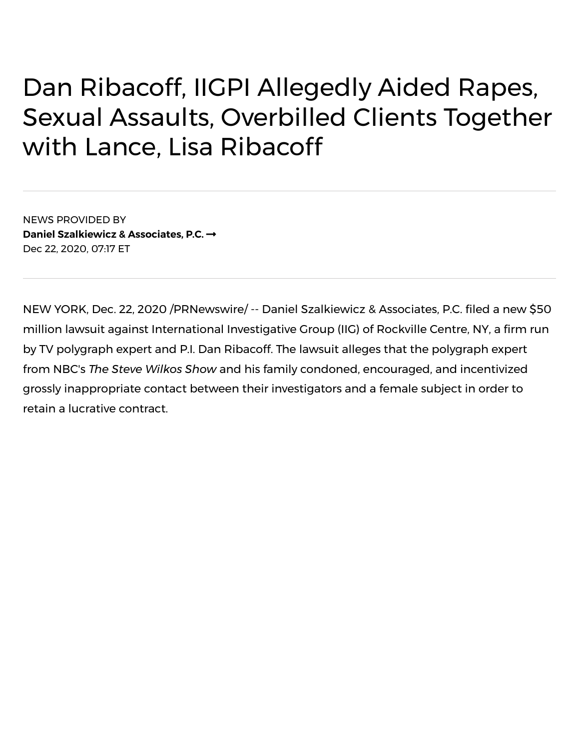## Dan Ribacoff, IIGPI Allegedly Aided Rapes, Sexual Assaults, Overbilled Clients Together with Lance, Lisa Ribacoff

NEWS PROVIDED BY **Daniel [Szalkiewicz](https://www.prnewswire.com/news/daniel-szalkiewicz-%26-associates%2C-p.c./) & Associates, P.C.** Dec 22, 2020, 07:17 ET

NEW YORK, Dec. 22, 2020 /PRNewswire/ -- Daniel Szalkiewicz & Associates, P.C. filed a new \$50 million lawsuit against International Investigative Group (IIG) of Rockville Centre, NY, a firm run by TV polygraph expert and P.I. Dan Ribacoff. The lawsuit alleges that the polygraph expert from NBC's *The Steve Wilkos Show* and his family condoned, encouraged, and incentivized grossly inappropriate contact between their investigators and a female subject in order to retain a lucrative contract.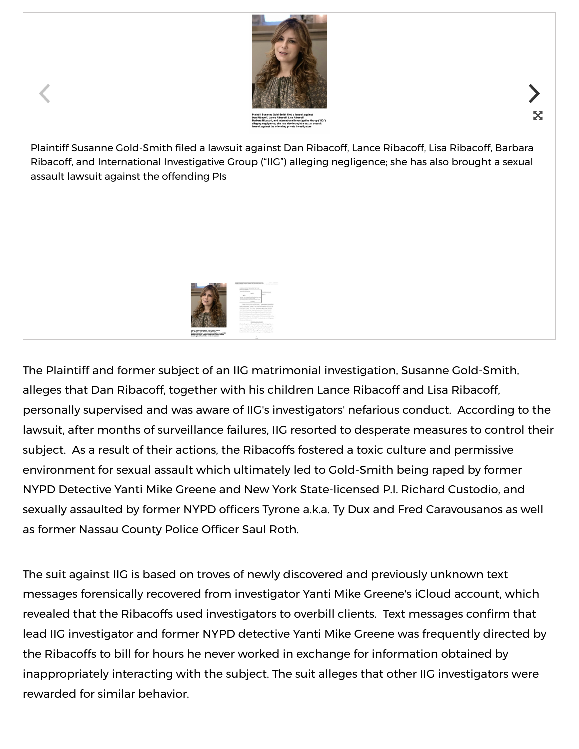

X

Plaintiff Susanne Gold-Smith filed a lawsuit against Dan Ribacoff, Lance Ribacoff, Lisa Ribacoff, Barbara Ribacoff, and International Investigative Group ("IIG") alleging negligence; she has also brought a sexual assault lawsuit against the offending PIs



The Plaintiff and former subject of an IIG matrimonial investigation, Susanne Gold-Smith, alleges that Dan Ribacoff, together with his children Lance Ribacoff and Lisa Ribacoff, personally supervised and was aware of IIG's investigators' nefarious conduct. According to the lawsuit, after months of surveillance failures, IIG resorted to desperate measures to control their subject. As a result of their actions, the Ribacoffs fostered a toxic culture and permissive environment for sexual assault which ultimately led to Gold-Smith being raped by former NYPD Detective Yanti Mike Greene and New York State-licensed P.I. Richard Custodio, and sexually assaulted by former NYPD officers Tyrone a.k.a. Ty Dux and Fred Caravousanos as well as former Nassau County Police Officer Saul Roth.

The suit against IIG is based on troves of newly discovered and previously unknown text messages forensically recovered from investigator Yanti Mike Greene's iCloud account, which revealed that the Ribacoffs used investigators to overbill clients. Text messages confirm that lead IIG investigator and former NYPD detective Yanti Mike Greene was frequently directed by the Ribacoffs to bill for hours he never worked in exchange for information obtained by inappropriately interacting with the subject. The suit alleges that other IIG investigators were rewarded for similar behavior.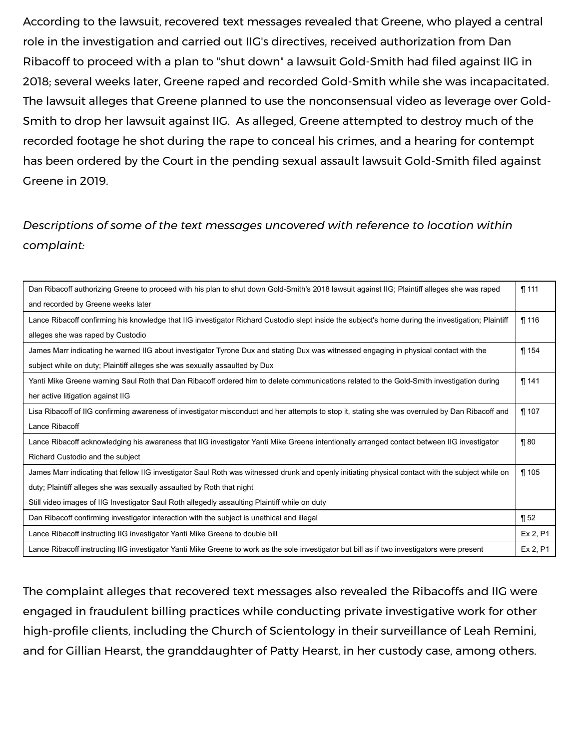According to the lawsuit, recovered text messages revealed that Greene, who played a central role in the investigation and carried out IIG's directives, received authorization from Dan Ribacoff to proceed with a plan to "shut down" a lawsuit Gold-Smith had filed against IIG in 2018; several weeks later, Greene raped and recorded Gold-Smith while she was incapacitated. The lawsuit alleges that Greene planned to use the nonconsensual video as leverage over Gold-Smith to drop her lawsuit against IIG. As alleged, Greene attempted to destroy much of the recorded footage he shot during the rape to conceal his crimes, and a hearing for contempt has been ordered by the Court in the pending sexual assault lawsuit Gold-Smith filed against Greene in 2019.

## *Descriptions of some of the text messages uncovered with reference to location within complaint:*

| Dan Ribacoff authorizing Greene to proceed with his plan to shut down Gold-Smith's 2018 lawsuit against IIG; Plaintiff alleges she was raped       | $\P$ 111 |
|----------------------------------------------------------------------------------------------------------------------------------------------------|----------|
| and recorded by Greene weeks later                                                                                                                 |          |
| Lance Ribacoff confirming his knowledge that IIG investigator Richard Custodio slept inside the subject's home during the investigation; Plaintiff | $\P$ 116 |
| alleges she was raped by Custodio                                                                                                                  |          |
| James Marr indicating he warned IIG about investigator Tyrone Dux and stating Dux was witnessed engaging in physical contact with the              | $\P$ 154 |
| subject while on duty; Plaintiff alleges she was sexually assaulted by Dux                                                                         |          |
| Yanti Mike Greene warning Saul Roth that Dan Ribacoff ordered him to delete communications related to the Gold-Smith investigation during          | $\P$ 141 |
| her active litigation against IIG                                                                                                                  |          |
| Lisa Ribacoff of IIG confirming awareness of investigator misconduct and her attempts to stop it, stating she was overruled by Dan Ribacoff and    | $\P$ 107 |
| Lance Ribacoff                                                                                                                                     |          |
| Lance Ribacoff acknowledging his awareness that IIG investigator Yanti Mike Greene intentionally arranged contact between IIG investigator         | $\P$ 80  |
| Richard Custodio and the subject                                                                                                                   |          |
| James Marr indicating that fellow IIG investigator Saul Roth was witnessed drunk and openly initiating physical contact with the subject while on  | $\P$ 105 |
| duty; Plaintiff alleges she was sexually assaulted by Roth that night                                                                              |          |
| Still video images of IIG Investigator Saul Roth allegedly assaulting Plaintiff while on duty                                                      |          |
| Dan Ribacoff confirming investigator interaction with the subject is unethical and illegal                                                         | $\P52$   |
| Lance Ribacoff instructing IIG investigator Yanti Mike Greene to double bill                                                                       | Ex 2, P1 |
| Lance Ribacoff instructing IIG investigator Yanti Mike Greene to work as the sole investigator but bill as if two investigators were present       | Ex 2, P1 |

The complaint alleges that recovered text messages also revealed the Ribacoffs and IIG were engaged in fraudulent billing practices while conducting private investigative work for other high-profile clients, including the Church of Scientology in their surveillance of Leah Remini, and for Gillian Hearst, the granddaughter of Patty Hearst, in her custody case, among others.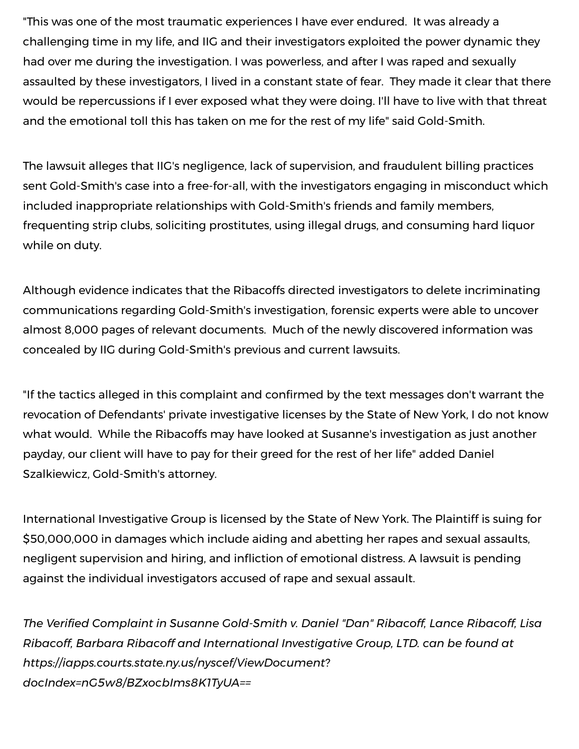"This was one of the most traumatic experiences I have ever endured. It was already a challenging time in my life, and IIG and their investigators exploited the power dynamic they had over me during the investigation. I was powerless, and after I was raped and sexually assaulted by these investigators, I lived in a constant state of fear. They made it clear that there would be repercussions if I ever exposed what they were doing. I'll have to live with that threat and the emotional toll this has taken on me for the rest of my life" said Gold-Smith.

The lawsuit alleges that IIG's negligence, lack of supervision, and fraudulent billing practices sent Gold-Smith's case into a free-for-all, with the investigators engaging in misconduct which included inappropriate relationships with Gold-Smith's friends and family members, frequenting strip clubs, soliciting prostitutes, using illegal drugs, and consuming hard liquor while on duty.

Although evidence indicates that the Ribacoffs directed investigators to delete incriminating communications regarding Gold-Smith's investigation, forensic experts were able to uncover almost 8,000 pages of relevant documents. Much of the newly discovered information was concealed by IIG during Gold-Smith's previous and current lawsuits.

"If the tactics alleged in this complaint and confirmed by the text messages don't warrant the revocation of Defendants' private investigative licenses by the State of New York, I do not know what would. While the Ribacoffs may have looked at Susanne's investigation as just another payday, our client will have to pay for their greed for the rest of her life" added Daniel Szalkiewicz, Gold-Smith's attorney.

International Investigative Group is licensed by the State of New York. The Plaintiff is suing for \$50,000,000 in damages which include aiding and abetting her rapes and sexual assaults, negligent supervision and hiring, and infliction of emotional distress. A lawsuit is pending against the individual investigators accused of rape and sexual assault.

*The Veried Complaint in Susanne Gold-Smith v. Daniel "Dan" Ribacoff, Lance Ribacoff, Lisa Ribacoff, Barbara Ribacoff and International Investigative Group, LTD. can be found at [https://iapps.courts.state.ny.us/nyscef/ViewDocument?](https://c212.net/c/link/?t=0&l=en&o=3019917-1&h=1754249152&u=https%3A%2F%2Fiapps.courts.state.ny.us%2Fnyscef%2FViewDocument%3FdocIndex%3DnG5w8%2FBZxocbIms8K1TyUA%3D%3D&a=https%3A%2F%2Fiapps.courts.state.ny.us%2Fnyscef%2FViewDocument%3FdocIndex%3DnG5w8%2FBZxocbIms8K1TyUA%3D%3D) docIndex=nG5w8/BZxocbIms8K1TyUA==*